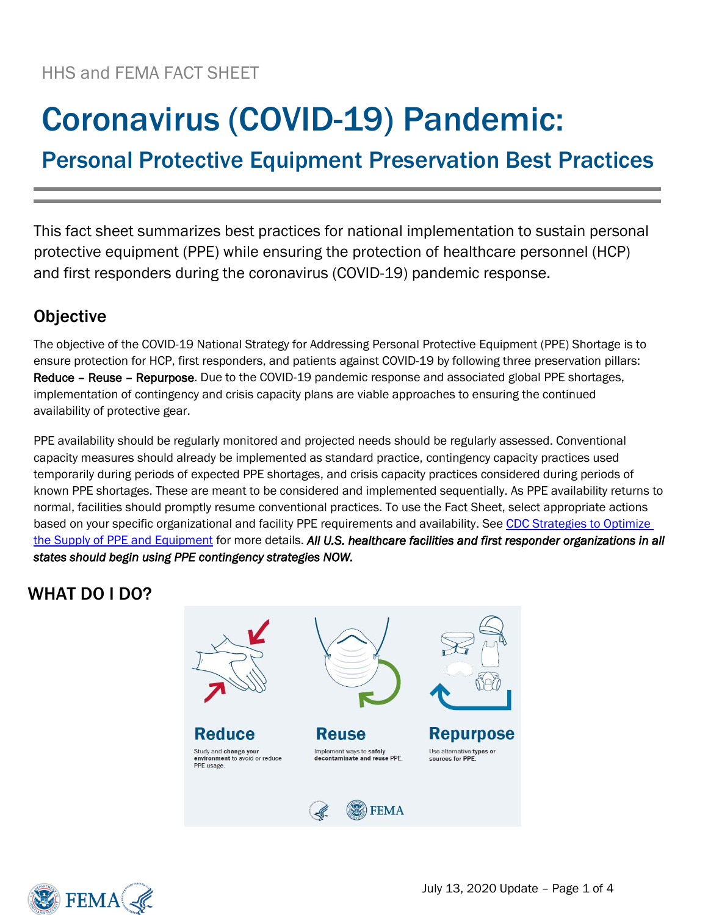# Coronavirus (COVID-19) Pandemic:

Personal Protective Equipment Preservation Best Practices

This fact sheet summarizes best practices for national implementation to sustain personal protective equipment (PPE) while ensuring the protection of healthcare personnel (HCP) and first responders during the coronavirus (COVID-19) pandemic response.

## **Objective**

The objective of the COVID-19 National Strategy for Addressing Personal Protective Equipment (PPE) Shortage is to ensure protection for HCP, first responders, and patients against COVID-19 by following three preservation pillars: Reduce – Reuse – Repurpose. Due to the COVID-19 pandemic response and associated global PPE shortages, implementation of contingency and crisis capacity plans are viable approaches to ensuring the continued availability of protective gear.

PPE availability should be regularly monitored and projected needs should be regularly assessed. Conventional capacity measures should already be implemented as standard practice, contingency capacity practices used temporarily during periods of expected PPE shortages, and crisis capacity practices considered during periods of known PPE shortages. These are meant to be considered and implemented sequentially. As PPE availability returns to normal, facilities should promptly resume conventional practices. To use the Fact Sheet, select appropriate actions based on your specific organizational and facility PPE requirements and availability. See CDC Strategies to Optimize [the Supply of PPE and Equipment](https://www.cdc.gov/coronavirus/2019-ncov/hcp/ppe-strategy/index.html) for more details. *All U.S. healthcare facilities and first responder organizations in all states should begin using PPE contingency strategies NOW.* 

## WHAT DO I DO?



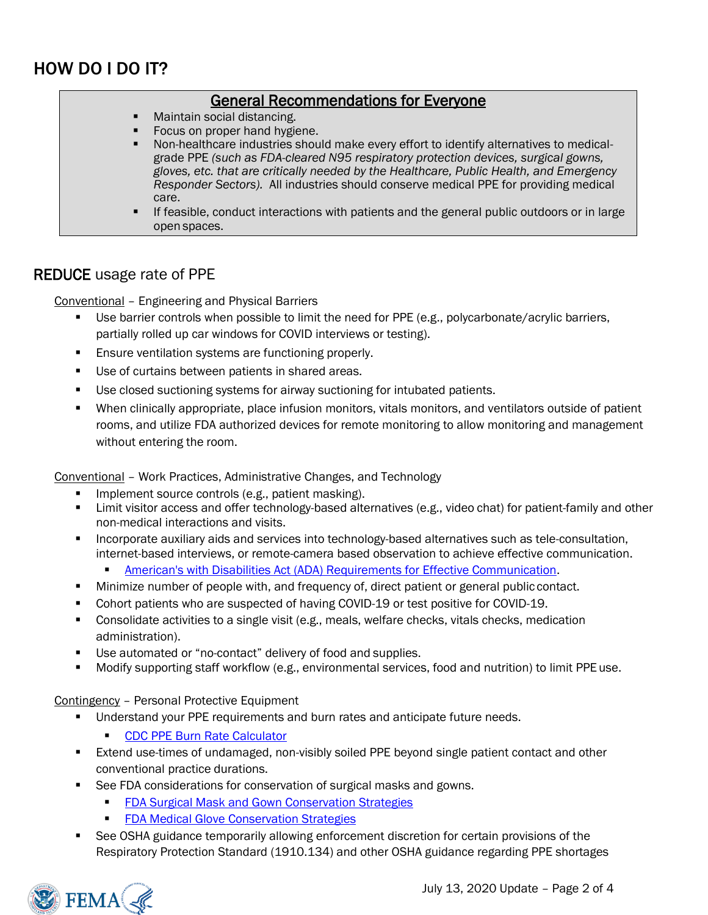## HOW DO I DO IT?

#### General Recommendations for Everyone

- Maintain social distancing.
- Focus on proper hand hygiene.
- Non-healthcare industries should make every effort to identify alternatives to medicalgrade PPE *(such as FDA-cleared N95 respiratory protection devices, surgical gowns, gloves, etc. that are critically needed by the Healthcare, Public Health, and Emergency Responder Sectors).* All industries should conserve medical PPE for providing medical care.
- If feasible, conduct interactions with patients and the general public outdoors or in large open spaces.

#### REDUCE usage rate of PPE

Conventional – Engineering and Physical Barriers

- Use barrier controls when possible to limit the need for PPE (e.g., polycarbonate/acrylic barriers, partially rolled up car windows for COVID interviews or testing).
- **Ensure ventilation systems are functioning properly.**
- Use of curtains between patients in shared areas.
- Use closed suctioning systems for airway suctioning for intubated patients.
- When clinically appropriate, place infusion monitors, vitals monitors, and ventilators outside of patient rooms, and utilize FDA authorized devices for remote monitoring to allow monitoring and management without entering the room.

Conventional – Work Practices, Administrative Changes, and Technology

- Implement source controls (e.g., patient masking).
- **EXTENDING** Limit visitor access and offer technology-based alternatives (e.g., video chat) for patient-family and other non-medical interactions and visits.
- **EXEDENT Incorporate auxiliary aids and services into technology-based alternatives such as tele-consultation,** internet-based interviews, or remote-camera based observation to achieve effective communication.
	- **EXECT** [American's with Disabilities Act \(ADA\) Requirements for Effective Communication.](https://www.ada.gov/effective-comm.htm)
- **■** Minimize number of people with, and frequency of, direct patient or general public contact.
- Cohort patients who are suspected of having COVID-19 or test positive for COVID-19.
- Consolidate activities to a single visit (e.g., meals, welfare checks, vitals checks, medication administration).
- Use automated or "no-contact" delivery of food and supplies.
- Modify supporting staff workflow (e.g., environmental services, food and nutrition) to limit PPE use.

#### Contingency – Personal Protective Equipment

- Understand your PPE requirements and burn rates and anticipate future needs.
	- **[CDC PPE Burn Rate Calculator](https://www.cdc.gov/coronavirus/2019-ncov/hcp/ppe-strategy/burn-calculator.html)**
- **Extend use-times of undamaged, non-visibly soiled PPE beyond single patient contact and other** conventional practice durations.
- See FDA considerations for conservation of surgical masks and gowns.
	- **[FDA Surgical Mask and Gown Conservation Strategies](https://www.fda.gov/medical-devices/letters-health-care-providers/surgical-mask-and-gown-conservation-strategies-letter-health-care-providers)**
	- **[FDA Medical Glove Conservation Strategies](https://www.fda.gov/medical-devices/letters-health-care-providers/medical-glove-conservation-strategies-letter-health-care-providers)**
- See OSHA guidance temporarily allowing enforcement discretion for certain provisions of the Respiratory Protection Standard (1910.134) and other OSHA guidance regarding PPE shortages

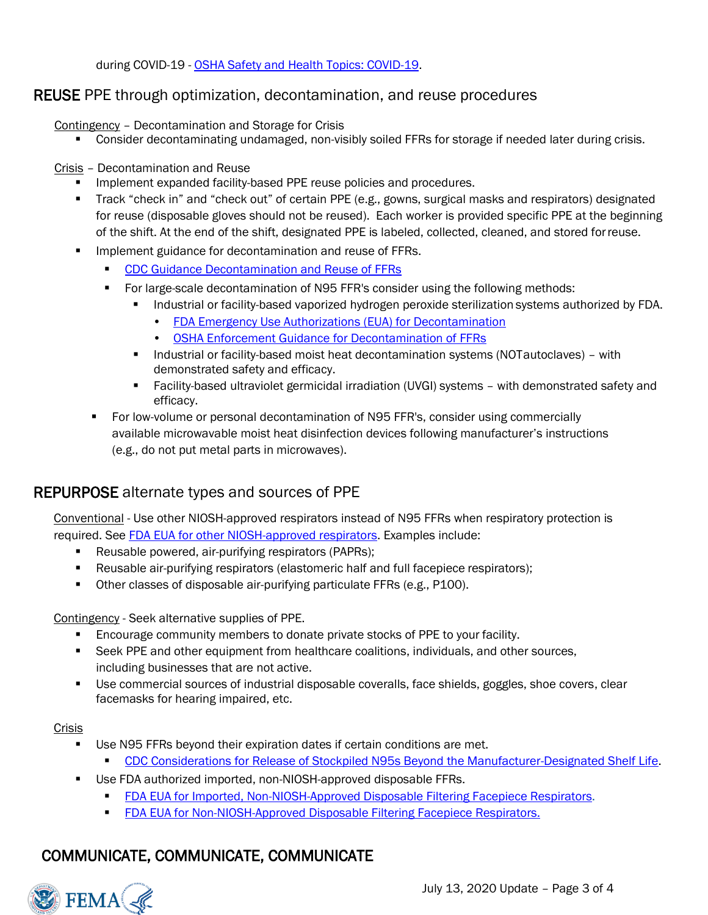during COVID-19 - [OSHA Safety and Health Topics: COVID-19.](file:///C:/Users/john.koerner/Desktop/OSHA%20Safety%20and%20Health%20Topics:%20COVID-19)

#### REUSE PPE through optimization, decontamination, and reuse procedures

Contingency – Decontamination and Storage for Crisis

**•** Consider decontaminating undamaged, non-visibly soiled FFRs for storage if needed later during crisis.

Crisis – Decontamination and Reuse

- **EXP** Implement expanded facility-based PPE reuse policies and procedures.
- Track "check in" and "check out" of certain PPE (e.g., gowns, surgical masks and respirators) designated for reuse (disposable gloves should not be reused). Each worker is provided specific PPE at the beginning of the shift. At the end of the shift, designated PPE is labeled, collected, cleaned, and stored forreuse.
- Implement guidance for decontamination and reuse of FFRs.
	- [CDC Guidance Decontamination and Reuse of FFRs](https://www.cdc.gov/coronavirus/2019-ncov/hcp/ppe-strategy/decontamination-reuse-respirators.html)
	- For large-scale decontamination of N95 FFR's consider using the following methods:
		- Industrial or facility-based vaporized hydrogen peroxide sterilization systems authorized by FDA.
			- [FDA Emergency Use Authorizations \(EUA\) for Decontamination](https://www.fda.gov/emergency-preparedness-and-response/mcm-legal-regulatory-and-policy-framework/emergency-use-authorization#covidppe)
			- [OSHA Enforcement Guidance for Decontamination of FFRs](https://www.osha.gov/memos/2020-04-24/enforcement-guidance-decontamination-filtering-facepiece-respirators-healthcare)
		- **■** Industrial or facility-based moist heat decontamination systems (NOTautoclaves) with demonstrated safety and efficacy.
		- **EXECT:** Facility-based ultraviolet germicidal irradiation (UVGI) systems with demonstrated safety and efficacy.
	- For low-volume or personal decontamination of N95 FFR's, consider using commercially available microwavable moist heat disinfection devices following manufacturer's instructions (e.g., do not put metal parts in microwaves).

### REPURPOSE alternate types and sources of PPE

Conventional - Use other NIOSH-approved respirators instead of N95 FFRs when respiratory protection is required. See [FDA EUA for other NIOSH-approved respirators.](https://www.fda.gov/media/135763/download) Examples include:

- Reusable powered, air-purifying respirators (PAPRs);
- Reusable air-purifying respirators (elastomeric half and full facepiece respirators);
- Other classes of disposable air-purifying particulate FFRs (e.g., P100).

Contingency - Seek alternative supplies of PPE.

- **Encourage community members to donate private stocks of PPE to your facility.**
- Seek PPE and other equipment from healthcare coalitions, individuals, and other sources, including businesses that are not active.
- Use commercial sources of industrial disposable coveralls, face shields, goggles, shoe covers, clear facemasks for hearing impaired, etc.

Crisis

- Use N95 FFRs beyond their expiration dates if certain conditions are met.
	- **EDC Considerations for Release of Stockpiled N95s Beyond the Manufacturer-Designated Shelf Life.**
- Use FDA authorized imported, non-NIOSH-approved disposable FFRs.
	- **FDA EUA for Imported, Non-NIOSH-Approved Disposable Filtering Facepiece Respirators.**
	- **[FDA EUA for Non-NIOSH-Approved Disposable Filtering Facepiece Respirators.](https://www.fda.gov/media/136664/download)**

## COMMUNICATE, COMMUNICATE, COMMUNICATE